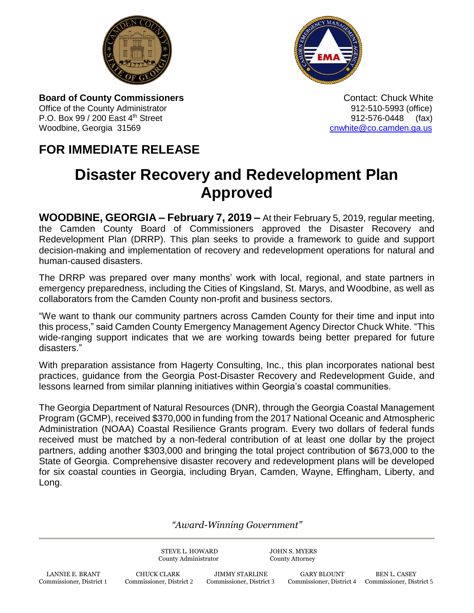



**Board of County Commissioners Contact: Chuck White Contact: Chuck White Contact: Chuck White** Office of the County Administrator **912-510-5993** (office) P.O. Box 99 / 200 East 4<sup>th</sup> Street 912-576-0448 (fax) Woodbine, Georgia 31569 cambia 31569 control and the control of the control of the control of the control of the control of the control of the control of the control of the control of the control of the control of the cont

## **FOR IMMEDIATE RELEASE**

## **Disaster Recovery and Redevelopment Plan Approved**

**WOODBINE, GEORGIA – February 7, 2019 –** At their February 5, 2019, regular meeting, the Camden County Board of Commissioners approved the Disaster Recovery and Redevelopment Plan (DRRP). This plan seeks to provide a framework to guide and support decision-making and implementation of recovery and redevelopment operations for natural and human-caused disasters.

The DRRP was prepared over many months' work with local, regional, and state partners in emergency preparedness, including the Cities of Kingsland, St. Marys, and Woodbine, as well as collaborators from the Camden County non-profit and business sectors.

"We want to thank our community partners across Camden County for their time and input into this process," said Camden County Emergency Management Agency Director Chuck White. "This wide-ranging support indicates that we are working towards being better prepared for future disasters."

With preparation assistance from Hagerty Consulting, Inc., this plan incorporates national best practices, guidance from the Georgia Post-Disaster Recovery and Redevelopment Guide, and lessons learned from similar planning initiatives within Georgia's coastal communities.

The Georgia Department of Natural Resources (DNR), through the Georgia Coastal Management Program (GCMP), received \$370,000 in funding from the 2017 National Oceanic and Atmospheric Administration (NOAA) Coastal Resilience Grants program. Every two dollars of federal funds received must be matched by a non-federal contribution of at least one dollar by the project partners, adding another \$303,000 and bringing the total project contribution of \$673,000 to the State of Georgia. Comprehensive disaster recovery and redevelopment plans will be developed for six coastal counties in Georgia, including Bryan, Camden, Wayne, Effingham, Liberty, and Long.

*"Award-Winning Government"*

STEVE L. HOWARD JOHN S. MYERS County Administrator County Attorney

LANNIE E. BRANT CHUCK CLARK JIMMY STARLINE GARY BLOUNT BEN L. CASEY Commissioner, District 1 Commissioner, District 2 Commissioner, District 3 Commissioner, District 4 Commissioner, District 1

Commissioner, District 4 Commissioner, District 5